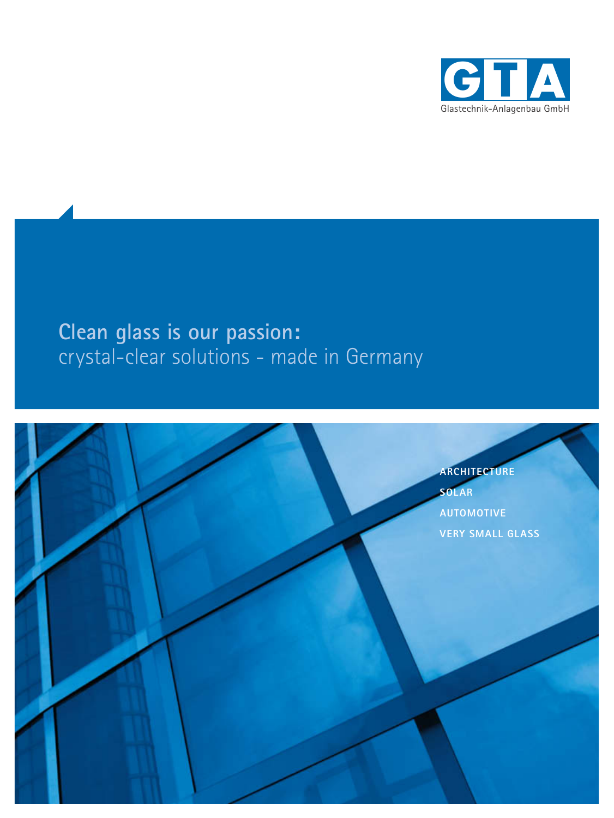

# **Clean glass is our passion:** crystal-clear solutions - made in Germany

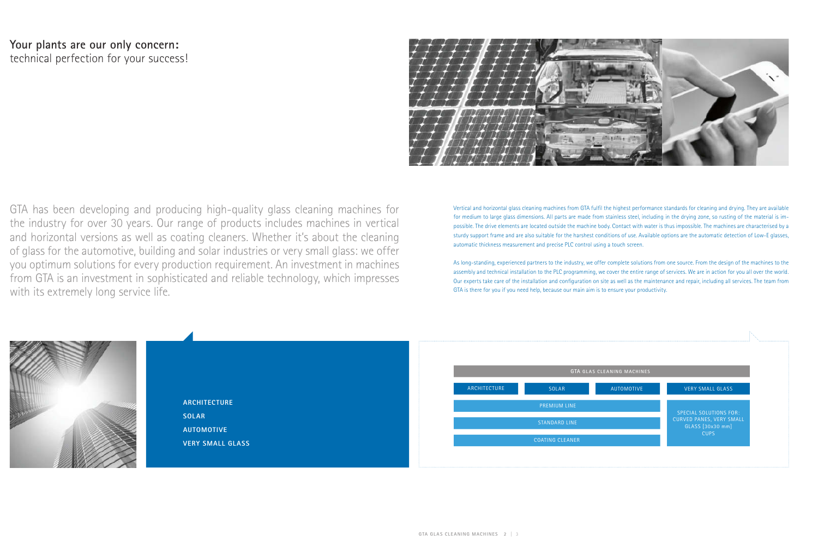### **Your plants are our only concern:** technical perfection for your success!



GTA has been developing and producing high-quality glass cleaning machines for the industry for over 30 years. Our range of products includes machines in vertical and horizontal versions as well as coating cleaners. Whether it's about the cleaning of glass for the automotive, building and solar industries or very small glass: we offer you optimum solutions for every production requirement. An investment in machines from GTA is an investment in sophisticated and reliable technology, which impresses with its extremely long service life.

Vertical and horizontal glass cleaning machines from GTA fulfi l the highest performance standards for cleaning and drying. They are available for medium to large glass dimensions. All parts are made from stainless steel, including in the drying zone, so rusting of the material is impossible. The drive elements are located outside the machine body. Contact with water is thus impossible. The machines are characterised by a sturdy support frame and are also suitable for the harshest conditions of use. Available options are the automatic detection of Low-E glasses, automatic thickness measurement and precise PLC control using a touch screen.

As long-standing, experienced partners to the industry, we offer complete solutions from one source. From the design of the machines to the assembly and technical installation to the PLC programming, we cover the entire range of services. We are in action for you all over the world. Our experts take care of the installation and configuration on site as well as the maintenance and repair, including all services. The team from GTA is there for you if you need help, because our main aim is to ensure your productivity.



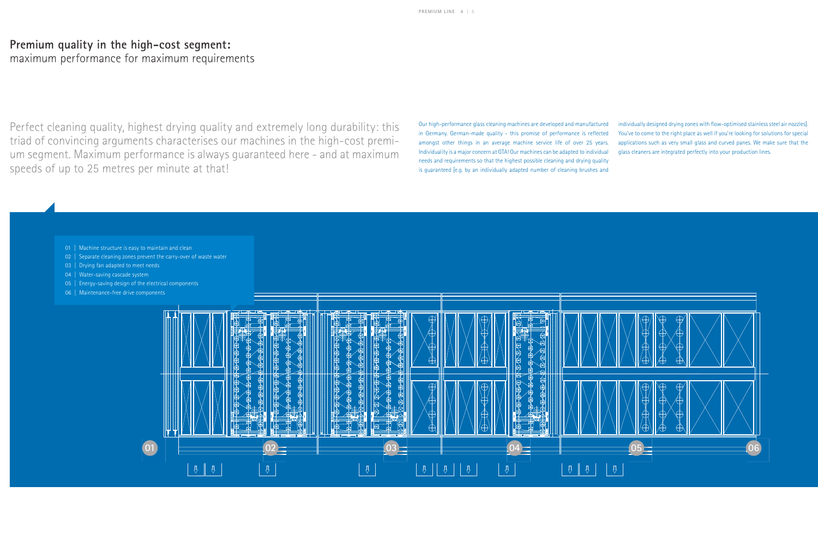## **Premium quality in the high-cost segment:**

maximum performance for maximum requirements

Perfect cleaning quality, highest drying quality and extremely long durability: this triad of convincing arguments characterises our machines in the high-cost premium segment. Maximum performance is always guaranteed here - and at maximum speeds of up to 25 metres per minute at that!

individually designed drying zones with flow-optimised stainless steel air nozzles]. You've to come to the right place as well if you're looking for solutions for special applications such as very small glass and curved panes. We make sure that the glass cleaners are integrated perfectly into your production lines.



Our high-performance glass cleaning machines are developed and manufactured in Germany. German-made quality - this promise of performance is reflected amongst other things in an average machine service life of over 25 years. Individuality is a major concern at GTA! Our machines can be adapted to individual needs and requirements so that the highest possible cleaning and drying quality is guaranteed [e.g. by an individually adapted number of cleaning brushes and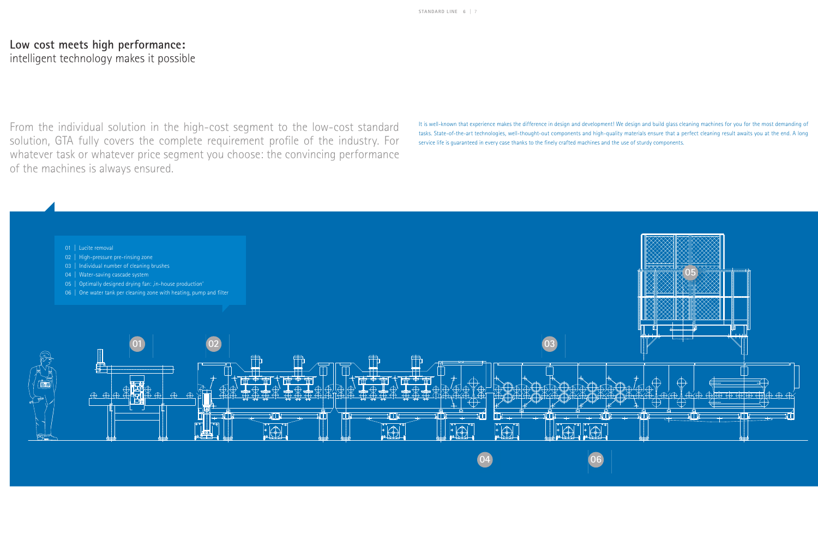## **Low cost meets high performance:**

intelligent technology makes it possible

It is well-known that experience makes the difference in design and development! We design and build glass cleaning machines for you for the most demanding of tasks. State-of-the-art technologies, well-thought-out components and high-quality materials ensure that a perfect cleaning result awaits you at the end. A long service life is guaranteed in every case thanks to the finely crafted machines and the use of sturdy components.

From the individual solution in the high-cost segment to the low-cost standard solution, GTA fully covers the complete requirement profile of the industry. For whatever task or whatever price segment you choose: the convincing performance of the machines is always ensured.

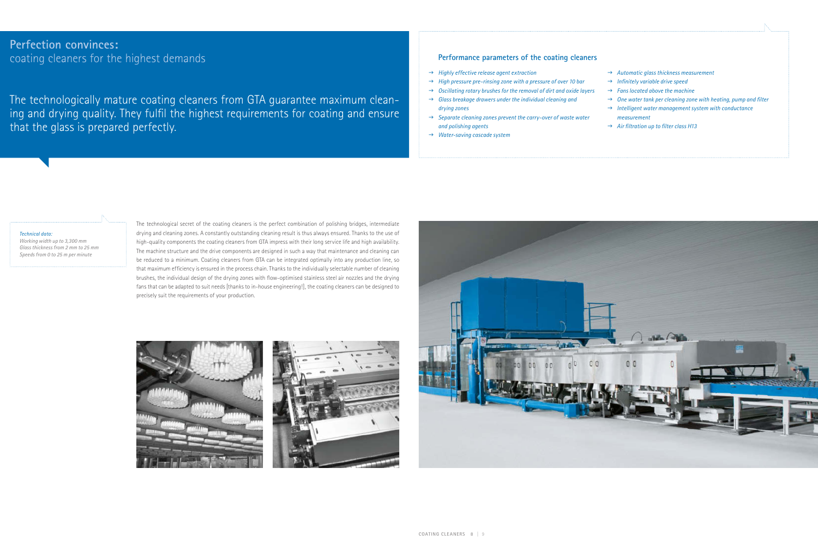$\rightarrow$  Automatic glass thickness measurement  $\rightarrow$  Infinitely variable drive speed  $\rightarrow$  *Fans located above the machine*  $\rightarrow$  One water tank per cleaning zone with heating, pump and filter → Intelligent water management system with conductance  *measurement* → Air filtration up to filter class H13

The technological secret of the coating cleaners is the perfect combination of polishing bridges, intermediate drying and cleaning zones. A constantly outstanding cleaning result is thus always ensured. Thanks to the use of high-quality components the coating cleaners from GTA impress with their long service life and high availability. The machine structure and the drive components are designed in such a way that maintenance and cleaning can be reduced to a minimum. Coating cleaners from GTA can be integrated optimally into any production line, so that maximum efficiency is ensured in the process chain. Thanks to the individually selectable number of cleaning brushes, the individual design of the drying zones with flow-optimised stainless steel air nozzles and the drying fans that can be adapted to suit needs [thanks to in-house engineering!], the coating cleaners can be designed to precisely suit the requirements of your production.







#### *Technical data:*

*Working width up to 3,300 mm Glass thickness from 2 mm to 25 mm Speeds from 0 to 25 m per minute*

#### **Performance parameters of the coating cleaners**

- → *Highly effective release agent extraction*
- → *High pressure pre-rinsing zone with a pressure of over 10 bar*
- $\rightarrow$  Oscillating rotary brushes for the removal of dirt and oxide layers
- $\rightarrow$  Glass breakage drawers under the individual cleaning and  *drying zones*
- → *Separate cleaning zones prevent the carry-over of waste water and polishing agents*
- → Water-saving cascade system

#### **Perfection convinces:** coating cleaners for the highest demands

The technologically mature coating cleaners from GTA guarantee maximum cleaning and drying quality. They fulfil the highest requirements for coating and ensure that the glass is prepared perfectly.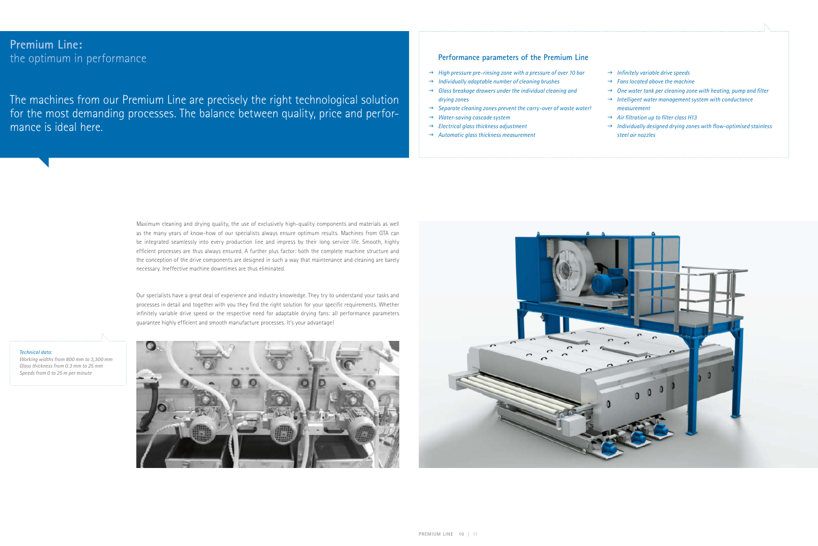### **Premium Line:** the optimum in performance

The machines from our Premium Line are precisely the right technological solution for the most demanding processes. The balance between quality, price and performance is ideal here.

> Our specialists have a great deal of experience and industry knowledge. They try to understand your tasks and processes in detail and together with you they find the right solution for your specific requirements. Whether infinitely variable drive speed or the respective need for adaptable drying fans: all performance parameters guarantee highly efficient and smooth manufacture processes. It's your advantage!

> Maximum cleaning and drying quality, the use of exclusively high-quality components and materials as well as the many years of know-how of our specialists always ensure optimum results. Machines from GTA can be integrated seamlessly into every production line and impress by their long service life. Smooth, highly efficient processes are thus always ensured. A further plus factor: both the complete machine structure and the conception of the drive components are designed in such a way that maintenance and cleaning are barely necessary. Ineffective machine downtimes are thus eliminated.

→ *Infinitely variable drive speeds*  $\rightarrow$  *Fans located above the machine*  $\rightarrow$  One water tank per cleaning zone with heating, pump and filter → Intelligent water management system with conductance  *measurement* → Air filtration up to filter class H13  $\rightarrow$  Individually designed drying zones with flow-optimised stainless  *steel air nozzles*

*Technical data: Working widths from 800 mm to 3,300 mm Glass thickness from 0.3 mm to 25 mm Speeds from 0 to 25 m per minute*





#### **Performance parameters of the Premium Line**

- → High pressure pre-rinsing zone with a pressure of over 10 bar
- $\rightarrow$  Individually adaptable number of cleaning brushes
- $\rightarrow$  Glass breakage drawers under the individual cleaning and  *drying zones*
- $\rightarrow$  Separate cleaning zones prevent the carry-over of waste water!
- → Water-saving cascade system
- → *Electrical glass thickness adjustment*
- $\rightarrow$  Automatic glass thickness measurement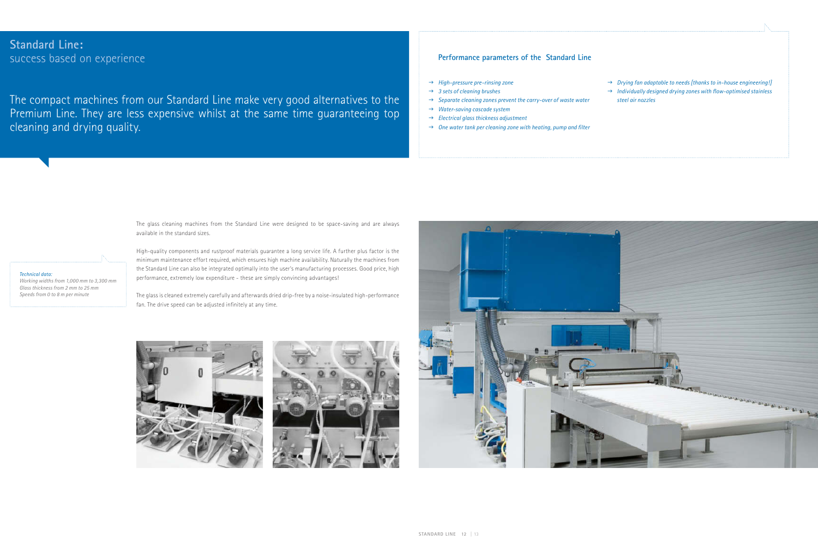#### **STANDARD LINE 12** | 13

### **Standard Line:** success based on experience

The compact machines from our Standard Line make very good alternatives to the Premium Line. They are less expensive whilst at the same time guaranteeing top cleaning and drying quality.

> The glass cleaning machines from the Standard Line were designed to be space-saving and are always available in the standard sizes.

> The glass is cleaned extremely carefully and afterwards dried drip-free by a noise-insulated high-performance fan. The drive speed can be adjusted infinitely at any time.







High-quality components and rustproof materials guarantee a long service life. A further plus factor is the minimum maintenance effort required, which ensures high machine availability. Naturally the machines from the Standard Line can also be integrated optimally into the user's manufacturing processes. Good price, high performance, extremely low expenditure - these are simply convincing advantages!

 $\rightarrow$  *Drying fan adaptable to needs [thanks to in-house engineering!]*  $\rightarrow$  Individually designed drying zones with flow-optimised stainless  *steel air nozzles*

*Technical data:* 

*Working widths from 1,000 mm to 3,300 mm Glass thickness from 2 mm to 25 mm Speeds from 0 to 8 m per minute*

#### **Performance parameters of the Standard Line**

- → *High-pressure pre-rinsing zone*
- → 3 sets of cleaning brushes
- → *Separate cleaning zones prevent the carry-over of waste water*
- → Water-saving cascade system
- → *Electrical glass thickness adjustment*
- $\rightarrow$  One water tank per cleaning zone with heating, pump and filter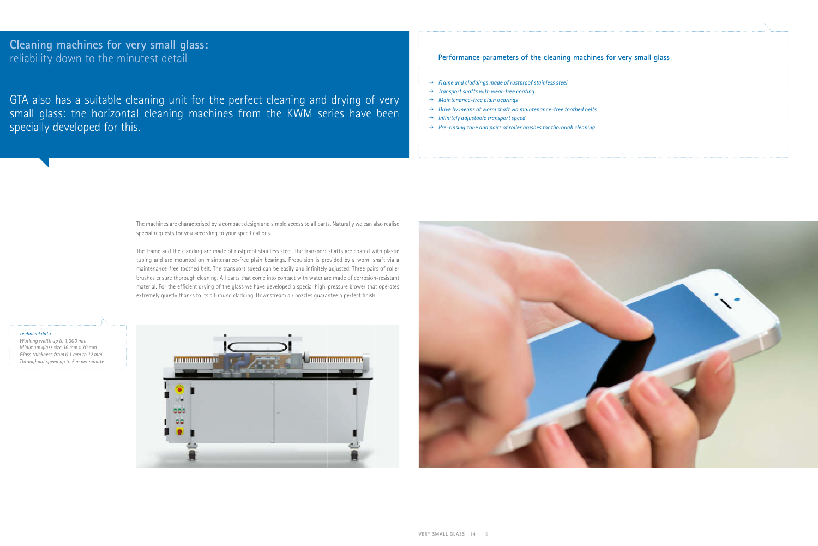### **Cleaning machines for very small glass:** reliability down to the minutest detail

The machines are characterised by a compact design and simple access to all parts. Naturally we can also realise special requests for you according to your specifications.

GTA also has a suitable cleaning unit for the perfect cleaning and drying of very small glass: the horizontal cleaning machines from the KWM series have been specially developed for this.

> The frame and the cladding are made of rustproof stainless steel. The transport shafts are coated with plastic tubing and are mounted on maintenance-free plain bearings. Propulsion is provided by a worm shaft via a maintenance-free toothed belt. The transport speed can be easily and infinitely adjusted. Three pairs of roller brushes ensure thorough cleaning. All parts that come into contact with water are made of corrosion-resistant material. For the efficient drying of the glass we have developed a special high-pressure blower that operates extremely quietly thanks to its all-round cladding. Downstream air nozzles guarantee a perfect finish.

*Technical data: Working width up to 1,000 mm Minimum glass size 36 mm x 10 mm Glass thickness from 0.1 mm to 12 mm Throughput speed up to 5 m per minute*





#### **Performance parameters of the cleaning machines for very small glass**

- $\rightarrow$  *Frame and claddings made of rustproof stainless steel*
- → *Transport shafts with wear-free coating*
- → *Maintenance-free plain bearings*
- → *Drive by means of worm shaft via maintenance-free toothed belts*
- $\rightarrow$  Infinitely adjustable transport speed
- → *Pre-rinsing zone and pairs of roller brushes for thorough cleaning*